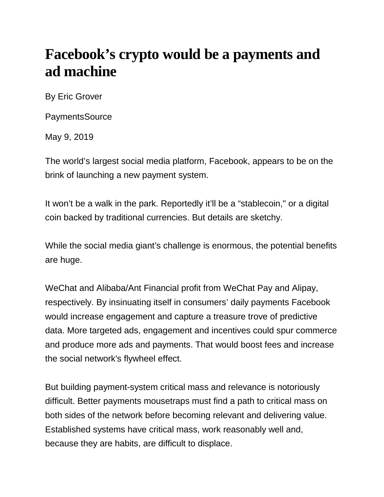## **Facebook's crypto would be a payments and ad machine**

By Eric Grover

**PaymentsSource** 

May 9, 2019

The world's largest social media platform, Facebook, appears to be on the brink of launching a new payment system.

It won't be a walk in the park. Reportedly it'll be a "stablecoin," or a digital coin backed by traditional currencies. But details are sketchy.

While the social media giant's challenge is enormous, the potential benefits are huge.

WeChat and Alibaba/Ant Financial profit from WeChat Pay and Alipay, respectively. By insinuating itself in consumers' daily payments Facebook would increase engagement and capture a treasure trove of predictive data. More targeted ads, engagement and incentives could spur commerce and produce more ads and payments. That would boost fees and increase the social network's flywheel effect.

But building payment-system critical mass and relevance is notoriously difficult. Better payments mousetraps must find a path to critical mass on both sides of the network before becoming relevant and delivering value. Established systems have critical mass, work reasonably well and, because they are habits, are difficult to displace.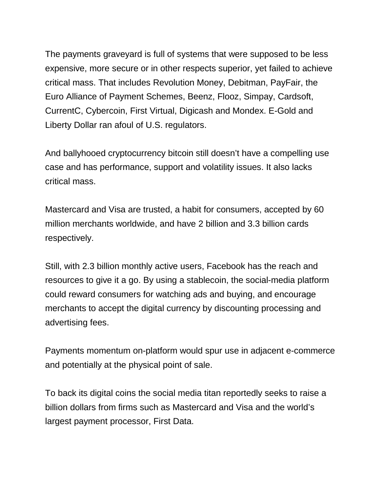The payments graveyard is full of systems that were supposed to be less expensive, more secure or in other respects superior, yet failed to achieve critical mass. That includes Revolution Money, Debitman, PayFair, the Euro Alliance of Payment Schemes, Beenz, Flooz, Simpay, Cardsoft, CurrentC, Cybercoin, First Virtual, Digicash and Mondex. E-Gold and Liberty Dollar ran afoul of U.S. regulators.

And ballyhooed cryptocurrency bitcoin still doesn't have a compelling use case and has performance, support and volatility issues. It also lacks critical mass.

Mastercard and Visa are trusted, a habit for consumers, accepted by 60 million merchants worldwide, and have 2 billion and 3.3 billion cards respectively.

Still, with 2.3 billion monthly active users, Facebook has the reach and resources to give it a go. By using a stablecoin, the social-media platform could reward consumers for watching ads and buying, and encourage merchants to accept the digital currency by discounting processing and advertising fees.

Payments momentum on-platform would spur use in adjacent e-commerce and potentially at the physical point of sale.

To back its digital coins the social media titan reportedly seeks to raise a billion dollars from firms such as Mastercard and Visa and the world's largest payment processor, First Data.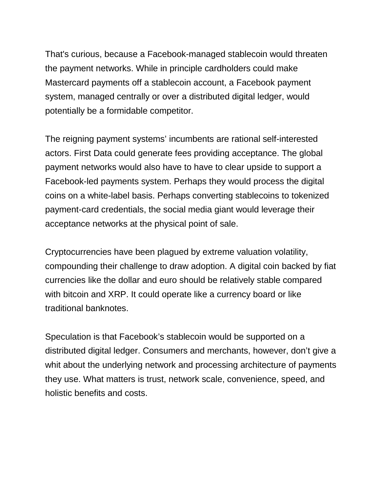That's curious, because a Facebook-managed stablecoin would threaten the payment networks. While in principle cardholders could make Mastercard payments off a stablecoin account, a Facebook payment system, managed centrally or over a distributed digital ledger, would potentially be a formidable competitor.

The reigning payment systems' incumbents are rational self-interested actors. First Data could generate fees providing acceptance. The global payment networks would also have to have to clear upside to support a Facebook-led payments system. Perhaps they would process the digital coins on a white-label basis. Perhaps converting stablecoins to tokenized payment-card credentials, the social media giant would leverage their acceptance networks at the physical point of sale.

Cryptocurrencies have been plagued by extreme valuation volatility, compounding their challenge to draw adoption. A digital coin backed by fiat currencies like the dollar and euro should be relatively stable compared with bitcoin and XRP. It could operate like a currency board or like traditional banknotes.

Speculation is that Facebook's stablecoin would be supported on a distributed digital ledger. Consumers and merchants, however, don't give a whit about the underlying network and processing architecture of payments they use. What matters is trust, network scale, convenience, speed, and holistic benefits and costs.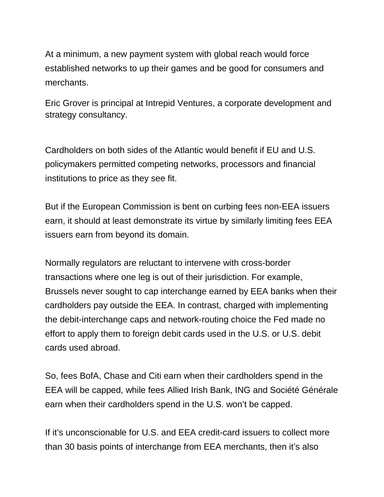At a minimum, a new payment system with global reach would force established networks to up their games and be good for consumers and merchants.

Eric Grover is principal at Intrepid Ventures, a corporate development and strategy consultancy.

Cardholders on both sides of the Atlantic would benefit if EU and U.S. policymakers permitted competing networks, processors and financial institutions to price as they see fit.

But if the European Commission is bent on curbing fees non-EEA issuers earn, it should at least demonstrate its virtue by similarly limiting fees EEA issuers earn from beyond its domain.

Normally regulators are reluctant to intervene with cross-border transactions where one leg is out of their jurisdiction. For example, Brussels never sought to cap interchange earned by EEA banks when their cardholders pay outside the EEA. In contrast, charged with implementing the debit-interchange caps and network-routing choice the Fed made no effort to apply them to foreign debit cards used in the U.S. or U.S. debit cards used abroad.

So, fees BofA, Chase and Citi earn when their cardholders spend in the EEA will be capped, while fees Allied Irish Bank, ING and Société Générale earn when their cardholders spend in the U.S. won't be capped.

If it's unconscionable for U.S. and EEA credit-card issuers to collect more than 30 basis points of interchange from EEA merchants, then it's also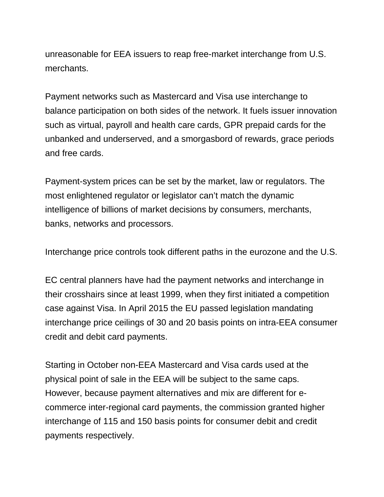unreasonable for EEA issuers to reap free-market interchange from U.S. merchants.

Payment networks such as Mastercard and Visa use interchange to balance participation on both sides of the network. It fuels issuer innovation such as virtual, payroll and health care cards, GPR prepaid cards for the unbanked and underserved, and a smorgasbord of rewards, grace periods and free cards.

Payment-system prices can be set by the market, law or regulators. The most enlightened regulator or legislator can't match the dynamic intelligence of billions of market decisions by consumers, merchants, banks, networks and processors.

Interchange price controls took different paths in the eurozone and the U.S.

EC central planners have had the payment networks and interchange in their crosshairs since at least 1999, when they first initiated a competition case against Visa. In April 2015 the EU passed legislation mandating interchange price ceilings of 30 and 20 basis points on intra-EEA consumer credit and debit card payments.

Starting in October non-EEA Mastercard and Visa cards used at the physical point of sale in the EEA will be subject to the same caps. However, because payment alternatives and mix are different for ecommerce inter-regional card payments, the commission granted higher interchange of 115 and 150 basis points for consumer debit and credit payments respectively.